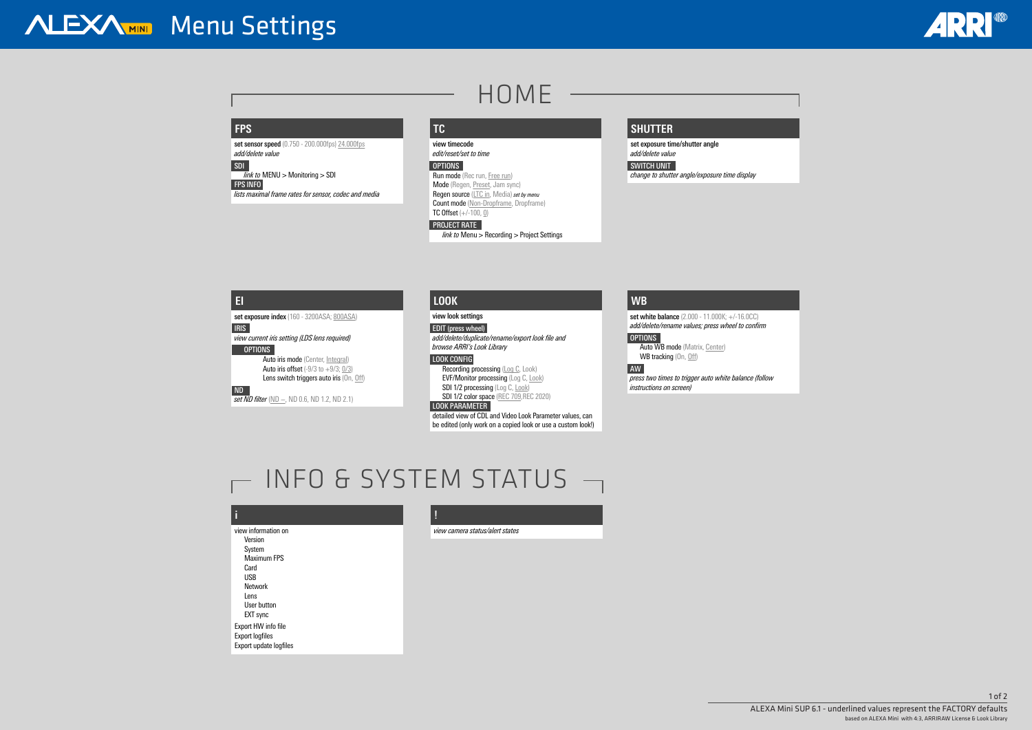# **i**

view information on Version System Maximum FPS Card USB Network Lens User button EXT sync Export HW info file Export logfiles Export update logfiles

# **!**

*view camera status/alert states*

Run mode (Rec run, Free run) Mode (Regen, Preset, Jam sync) Regen source (LTC in, Media) *set by menu* Count mode (Non-Dropframe, Dropframe)

# **ALEXAMIN** Menu Settings

## TC Offset  $(+/-100, 0)$

# HOME

**FPS**

*add/delete value*

*SDI*

 *link to* MENU > Monitoring > SDI

*FPS INFO*

*lists maximal frame rates for sensor, codec and media*

**TC**

*view timecode edit/reset/set to time*

*OPTIONS*

*ND set ND filter* (ND −, ND 0.6, ND 1.2, ND 2.1)

WB tracking (On, Off) *AW*

*PROJECT RATE link to* Menu > Recording > Project Settings

# **SHUTTER**

*set exposure time/shutter angle add/delete value*

*SWITCH UNIT*

*change to shutter angle/exposure time display*

# **EI**

*set exposure index* (160 - 3200ASA; 800ASA)

**set sensor speed** (0.750 - 200.000fps) 24.000fps

*IRIS view current iris setting (LDS lens required) OPTIONS* 

Auto iris mode (Center, Integral) **Auto iris offset** (-9/3 to  $+9/3$ ;  $0/3$ ) Lens switch triggers auto iris (On, Off)

# **WB**

*set white balance* (2.000 - 11.000K; +/-16.0CC) *add/delete/rename values; press wheel to confirm*

*OPTIONS* Auto WB mode (Matrix, Center)

*press two times to trigger auto white balance (follow instructions on screen)*

# INFO & SYSTEM STATUS -

# **LOOK**

*view look settings*

*EDIT (press wheel) add/delete/duplicate/rename/export look file and*

*browse ARRI's Look Library*

#### *LOOK CONFIG*

Recording processing (Log C, Look) EVF/Monitor processing (Log C, Look) SDI 1/2 processing (Log C, Look) SDI 1/2 color space (REC 709, REC 2020)

#### *LOOK PARAMETER*

detailed view of CDL and Video Look Parameter values, can be edited (only work on a copied look or use a custom look!)

1 of 2